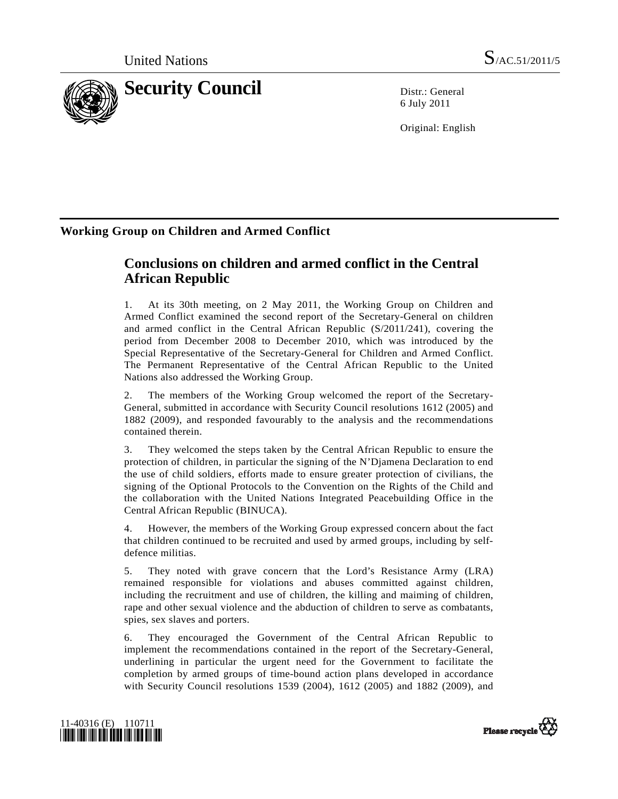

6 July 2011

Original: English

## **Working Group on Children and Armed Conflict**

# **Conclusions on children and armed conflict in the Central African Republic**

1. At its 30th meeting, on 2 May 2011, the Working Group on Children and Armed Conflict examined the second report of the Secretary-General on children and armed conflict in the Central African Republic (S/2011/241), covering the period from December 2008 to December 2010, which was introduced by the Special Representative of the Secretary-General for Children and Armed Conflict. The Permanent Representative of the Central African Republic to the United Nations also addressed the Working Group.

2. The members of the Working Group welcomed the report of the Secretary-General, submitted in accordance with Security Council resolutions 1612 (2005) and 1882 (2009), and responded favourably to the analysis and the recommendations contained therein.

3. They welcomed the steps taken by the Central African Republic to ensure the protection of children, in particular the signing of the N'Djamena Declaration to end the use of child soldiers, efforts made to ensure greater protection of civilians, the signing of the Optional Protocols to the Convention on the Rights of the Child and the collaboration with the United Nations Integrated Peacebuilding Office in the Central African Republic (BINUCA).

4. However, the members of the Working Group expressed concern about the fact that children continued to be recruited and used by armed groups, including by selfdefence militias.

5. They noted with grave concern that the Lord's Resistance Army (LRA) remained responsible for violations and abuses committed against children, including the recruitment and use of children, the killing and maiming of children, rape and other sexual violence and the abduction of children to serve as combatants, spies, sex slaves and porters.

6. They encouraged the Government of the Central African Republic to implement the recommendations contained in the report of the Secretary-General, underlining in particular the urgent need for the Government to facilitate the completion by armed groups of time-bound action plans developed in accordance with Security Council resolutions 1539 (2004), 1612 (2005) and 1882 (2009), and



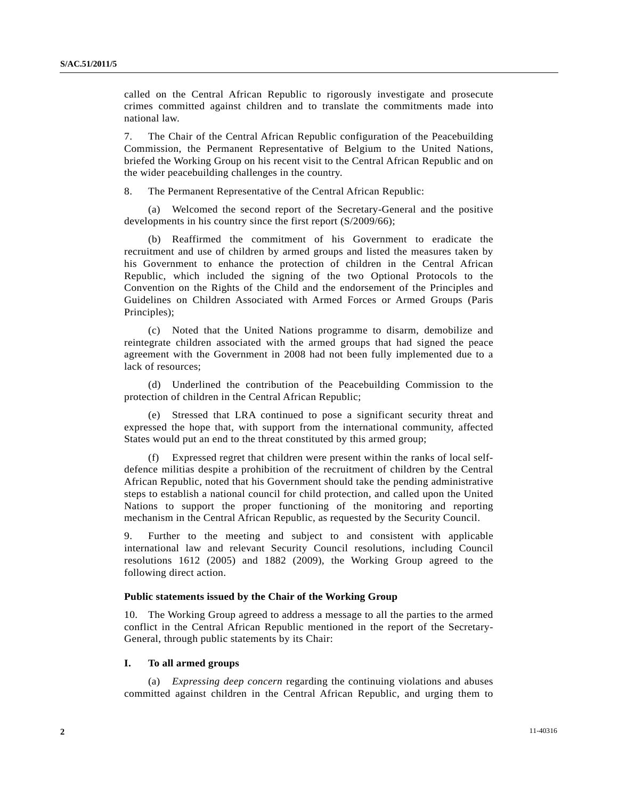called on the Central African Republic to rigorously investigate and prosecute crimes committed against children and to translate the commitments made into national law.

7. The Chair of the Central African Republic configuration of the Peacebuilding Commission, the Permanent Representative of Belgium to the United Nations, briefed the Working Group on his recent visit to the Central African Republic and on the wider peacebuilding challenges in the country.

8. The Permanent Representative of the Central African Republic:

 (a) Welcomed the second report of the Secretary-General and the positive developments in his country since the first report (S/2009/66);

 (b) Reaffirmed the commitment of his Government to eradicate the recruitment and use of children by armed groups and listed the measures taken by his Government to enhance the protection of children in the Central African Republic, which included the signing of the two Optional Protocols to the Convention on the Rights of the Child and the endorsement of the Principles and Guidelines on Children Associated with Armed Forces or Armed Groups (Paris Principles);

 (c) Noted that the United Nations programme to disarm, demobilize and reintegrate children associated with the armed groups that had signed the peace agreement with the Government in 2008 had not been fully implemented due to a lack of resources;

 (d) Underlined the contribution of the Peacebuilding Commission to the protection of children in the Central African Republic;

 (e) Stressed that LRA continued to pose a significant security threat and expressed the hope that, with support from the international community, affected States would put an end to the threat constituted by this armed group;

Expressed regret that children were present within the ranks of local selfdefence militias despite a prohibition of the recruitment of children by the Central African Republic, noted that his Government should take the pending administrative steps to establish a national council for child protection, and called upon the United Nations to support the proper functioning of the monitoring and reporting mechanism in the Central African Republic, as requested by the Security Council.

9. Further to the meeting and subject to and consistent with applicable international law and relevant Security Council resolutions, including Council resolutions 1612 (2005) and 1882 (2009), the Working Group agreed to the following direct action.

#### **Public statements issued by the Chair of the Working Group**

10. The Working Group agreed to address a message to all the parties to the armed conflict in the Central African Republic mentioned in the report of the Secretary-General, through public statements by its Chair:

## **I. To all armed groups**

 (a) *Expressing deep concern* regarding the continuing violations and abuses committed against children in the Central African Republic, and urging them to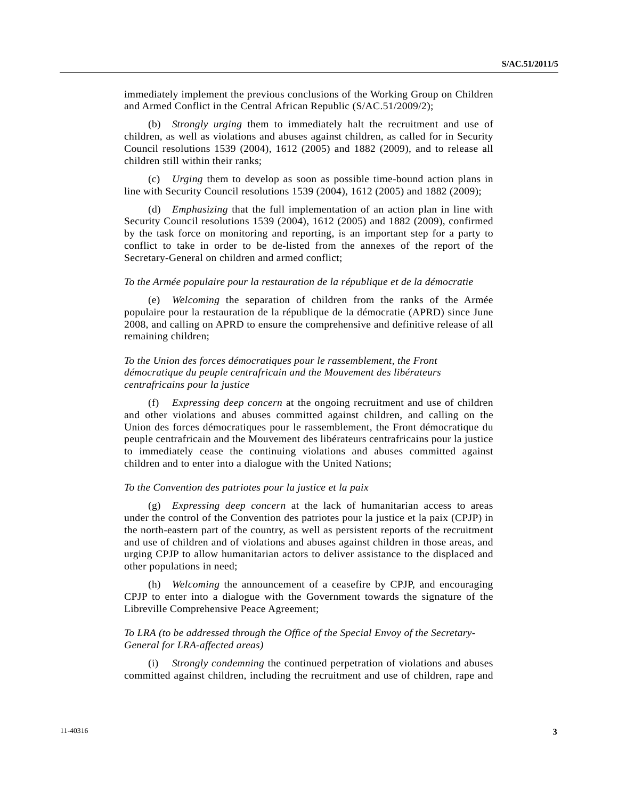immediately implement the previous conclusions of the Working Group on Children and Armed Conflict in the Central African Republic (S/AC.51/2009/2);

 (b) *Strongly urging* them to immediately halt the recruitment and use of children, as well as violations and abuses against children, as called for in Security Council resolutions 1539 (2004), 1612 (2005) and 1882 (2009), and to release all children still within their ranks;

 (c) *Urging* them to develop as soon as possible time-bound action plans in line with Security Council resolutions 1539 (2004), 1612 (2005) and 1882 (2009);

 (d) *Emphasizing* that the full implementation of an action plan in line with Security Council resolutions 1539 (2004), 1612 (2005) and 1882 (2009), confirmed by the task force on monitoring and reporting, is an important step for a party to conflict to take in order to be de-listed from the annexes of the report of the Secretary-General on children and armed conflict;

#### *To the Armée populaire pour la restauration de la république et de la démocratie*

 (e) *Welcoming* the separation of children from the ranks of the Armée populaire pour la restauration de la république de la démocratie (APRD) since June 2008, and calling on APRD to ensure the comprehensive and definitive release of all remaining children;

## *To the Union des forces démocratiques pour le rassemblement, the Front démocratique du peuple centrafricain and the Mouvement des libérateurs centrafricains pour la justice*

 (f) *Expressing deep concern* at the ongoing recruitment and use of children and other violations and abuses committed against children, and calling on the Union des forces démocratiques pour le rassemblement, the Front démocratique du peuple centrafricain and the Mouvement des libérateurs centrafricains pour la justice to immediately cease the continuing violations and abuses committed against children and to enter into a dialogue with the United Nations;

#### *To the Convention des patriotes pour la justice et la paix*

 (g) *Expressing deep concern* at the lack of humanitarian access to areas under the control of the Convention des patriotes pour la justice et la paix (CPJP) in the north-eastern part of the country, as well as persistent reports of the recruitment and use of children and of violations and abuses against children in those areas, and urging CPJP to allow humanitarian actors to deliver assistance to the displaced and other populations in need;

 (h) *Welcoming* the announcement of a ceasefire by CPJP, and encouraging CPJP to enter into a dialogue with the Government towards the signature of the Libreville Comprehensive Peace Agreement;

## *To LRA (to be addressed through the Office of the Special Envoy of the Secretary-General for LRA-affected areas)*

Strongly condemning the continued perpetration of violations and abuses committed against children, including the recruitment and use of children, rape and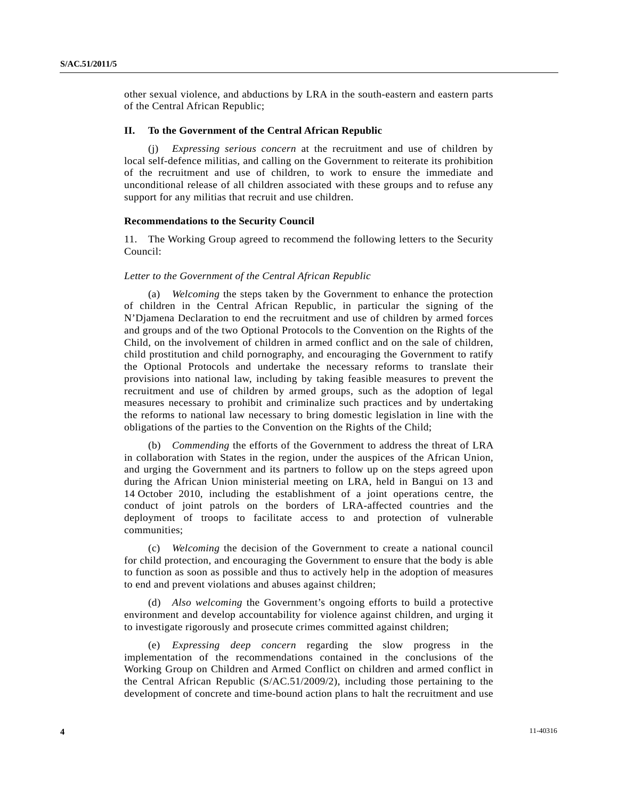other sexual violence, and abductions by LRA in the south-eastern and eastern parts of the Central African Republic;

#### **II. To the Government of the Central African Republic**

*Expressing serious concern* at the recruitment and use of children by local self-defence militias, and calling on the Government to reiterate its prohibition of the recruitment and use of children, to work to ensure the immediate and unconditional release of all children associated with these groups and to refuse any support for any militias that recruit and use children.

## **Recommendations to the Security Council**

11. The Working Group agreed to recommend the following letters to the Security Council:

#### *Letter to the Government of the Central African Republic*

 (a) *Welcoming* the steps taken by the Government to enhance the protection of children in the Central African Republic, in particular the signing of the N'Djamena Declaration to end the recruitment and use of children by armed forces and groups and of the two Optional Protocols to the Convention on the Rights of the Child, on the involvement of children in armed conflict and on the sale of children, child prostitution and child pornography, and encouraging the Government to ratify the Optional Protocols and undertake the necessary reforms to translate their provisions into national law, including by taking feasible measures to prevent the recruitment and use of children by armed groups, such as the adoption of legal measures necessary to prohibit and criminalize such practices and by undertaking the reforms to national law necessary to bring domestic legislation in line with the obligations of the parties to the Convention on the Rights of the Child;

 (b) *Commending* the efforts of the Government to address the threat of LRA in collaboration with States in the region, under the auspices of the African Union, and urging the Government and its partners to follow up on the steps agreed upon during the African Union ministerial meeting on LRA, held in Bangui on 13 and 14 October 2010, including the establishment of a joint operations centre, the conduct of joint patrols on the borders of LRA-affected countries and the deployment of troops to facilitate access to and protection of vulnerable communities;

 (c) *Welcoming* the decision of the Government to create a national council for child protection, and encouraging the Government to ensure that the body is able to function as soon as possible and thus to actively help in the adoption of measures to end and prevent violations and abuses against children;

 (d) *Also welcoming* the Government's ongoing efforts to build a protective environment and develop accountability for violence against children, and urging it to investigate rigorously and prosecute crimes committed against children;

 (e) *Expressing deep concern* regarding the slow progress in the implementation of the recommendations contained in the conclusions of the Working Group on Children and Armed Conflict on children and armed conflict in the Central African Republic (S/AC.51/2009/2), including those pertaining to the development of concrete and time-bound action plans to halt the recruitment and use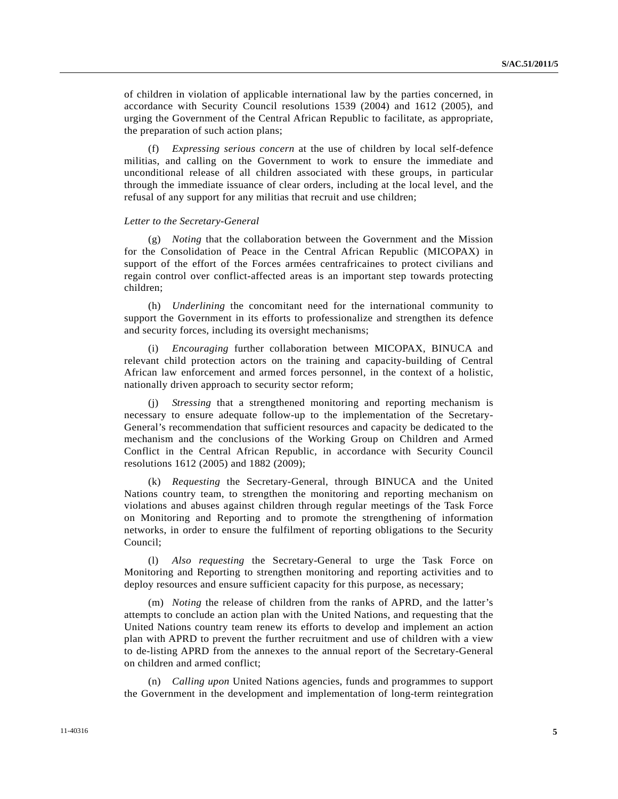of children in violation of applicable international law by the parties concerned, in accordance with Security Council resolutions 1539 (2004) and 1612 (2005), and urging the Government of the Central African Republic to facilitate, as appropriate, the preparation of such action plans;

 (f) *Expressing serious concern* at the use of children by local self-defence militias, and calling on the Government to work to ensure the immediate and unconditional release of all children associated with these groups, in particular through the immediate issuance of clear orders, including at the local level, and the refusal of any support for any militias that recruit and use children;

## *Letter to the Secretary-General*

 (g) *Noting* that the collaboration between the Government and the Mission for the Consolidation of Peace in the Central African Republic (MICOPAX) in support of the effort of the Forces armées centrafricaines to protect civilians and regain control over conflict-affected areas is an important step towards protecting children;

 (h) *Underlining* the concomitant need for the international community to support the Government in its efforts to professionalize and strengthen its defence and security forces, including its oversight mechanisms;

 (i) *Encouraging* further collaboration between MICOPAX, BINUCA and relevant child protection actors on the training and capacity-building of Central African law enforcement and armed forces personnel, in the context of a holistic, nationally driven approach to security sector reform;

 (j) *Stressing* that a strengthened monitoring and reporting mechanism is necessary to ensure adequate follow-up to the implementation of the Secretary-General's recommendation that sufficient resources and capacity be dedicated to the mechanism and the conclusions of the Working Group on Children and Armed Conflict in the Central African Republic, in accordance with Security Council resolutions 1612 (2005) and 1882 (2009);

 (k) *Requesting* the Secretary-General, through BINUCA and the United Nations country team, to strengthen the monitoring and reporting mechanism on violations and abuses against children through regular meetings of the Task Force on Monitoring and Reporting and to promote the strengthening of information networks, in order to ensure the fulfilment of reporting obligations to the Security Council;

 (l) *Also requesting* the Secretary-General to urge the Task Force on Monitoring and Reporting to strengthen monitoring and reporting activities and to deploy resources and ensure sufficient capacity for this purpose, as necessary;

 (m) *Noting* the release of children from the ranks of APRD, and the latter's attempts to conclude an action plan with the United Nations, and requesting that the United Nations country team renew its efforts to develop and implement an action plan with APRD to prevent the further recruitment and use of children with a view to de-listing APRD from the annexes to the annual report of the Secretary-General on children and armed conflict;

 (n) *Calling upon* United Nations agencies, funds and programmes to support the Government in the development and implementation of long-term reintegration